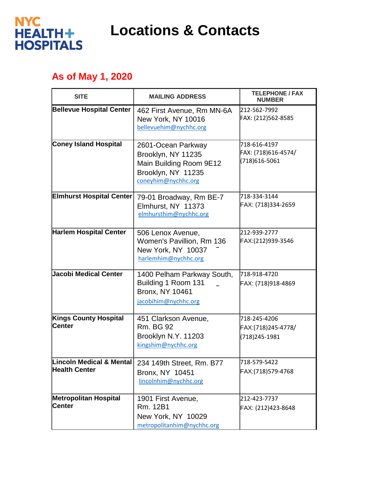

**Locations & Contacts**

## **As of May 1, 2020**

| <b>SITE</b>                                                 | <b>MAILING ADDRESS</b>                                                                                           | <b>TELEPHONE / FAX</b><br><b>NUMBER</b>              |
|-------------------------------------------------------------|------------------------------------------------------------------------------------------------------------------|------------------------------------------------------|
| <b>Bellevue Hospital Center</b>                             | 462 First Avenue, Rm MN-6A<br>New York, NY 10016<br>bellevuehim@nychhc.org                                       | 212-562-7992<br>FAX: (212)562-8585                   |
| <b>Coney Island Hospital</b>                                | 2601-Ocean Parkway<br>Brooklyn, NY 11235<br>Main Building Room 9E12<br>Brooklyn, NY 11235<br>coneyhim@nychhc.org | 718-616-4197<br>FAX: (718)616-4574/<br>(718)616-5061 |
| <b>Elmhurst Hospital Center</b>                             | 79-01 Broadway, Rm BE-7<br>Elmhurst, NY 11373<br>elmhursthim@nychhc.org                                          | 718-334-3144<br>FAX: (718)334-2659                   |
| <b>Harlem Hospital Center</b>                               | 506 Lenox Avenue,<br>Women's Pavillion, Rm 136<br>New York, NY 10037<br>harlemhim@nychhc.org                     | 212-939-2777<br>FAX:(212)939-3546                    |
| Jacobi Medical Center                                       | 1400 Pelham Parkway South,<br>Building 1 Room 131<br><b>Bronx, NY 10461</b><br>jacobihim@nychhc.org              | 718-918-4720<br>FAX: (718)918-4869                   |
| <b>Kings County Hospital</b><br><b>lCenter</b>              | 451 Clarkson Avenue,<br><b>Rm. BG 92</b><br>Brooklyn N.Y. 11203<br>kingshim@nychhc.org                           | 718-245-4206<br>FAX:(718)245-4778/<br>(718) 245-1981 |
| <b>Lincoln Medical &amp; Mental</b><br><b>Health Center</b> | 234 149th Street, Rm. B77<br>Bronx, NY 10451<br>lincolnhim@nychhc.org                                            | 718-579-5422<br>FAX:(718)579-4768                    |
| <b>Metropolitan Hospital</b><br><b>Center</b>               | 1901 First Avenue,<br>Rm. 12B1<br>New York, NY 10029<br>metropolitanhim@nychhc.org                               | 212-423-7737<br>FAX: (212)423-8648                   |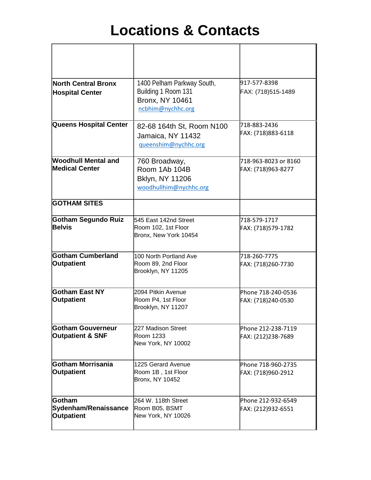## **Locations & Contacts**

| North Central Bronx<br><b>Hospital Center</b>              | 1400 Pelham Parkway South,<br>Building 1 Room 131<br><b>Bronx, NY 10461</b><br>ncbhim@nychhc.org | 917-577-8398<br>FAX: (718)515-1489         |
|------------------------------------------------------------|--------------------------------------------------------------------------------------------------|--------------------------------------------|
| <b>Queens Hospital Center</b>                              | 82-68 164th St, Room N100<br>Jamaica, NY 11432<br>gueenshim@nychhc.org                           | 718-883-2436<br>FAX: (718)883-6118         |
| <b>Woodhull Mental and</b><br><b>Medical Center</b>        | 760 Broadway,<br>Room 1Ab 104B<br>Bklyn, NY 11206<br>woodhullhim@nychhc.org                      | 718-963-8023 or 8160<br>FAX: (718)963-8277 |
| <b>GOTHAM SITES</b>                                        |                                                                                                  |                                            |
| Gotham Segundo Ruiz<br><b>Belvis</b>                       | 545 East 142nd Street<br>Room 102, 1st Floor<br>Bronx, New York 10454                            | 718-579-1717<br>FAX: (718)579-1782         |
| Gotham Cumberland<br><b>Outpatient</b>                     | 100 North Portland Ave<br>Room 89, 2nd Floor<br>Brooklyn, NY 11205                               | 718-260-7775<br>FAX: (718)260-7730         |
| <b>Gotham East NY</b><br>Outpatient                        | 2094 Pitkin Avenue<br>Room P4, 1st Floor<br>Brooklyn, NY 11207                                   | Phone 718-240-0536<br>FAX: (718)240-0530   |
| Gotham Gouverneur<br><b>Outpatient &amp; SNF</b>           | 227 Madison Street<br>Room 1233<br>New York, NY 10002                                            | Phone 212-238-7119<br>FAX: (212)238-7689   |
| <b>Gotham Morrisania</b><br><b>Outpatient</b>              | 1225 Gerard Avenue<br>Room 1B, 1st Floor<br>Bronx, NY 10452                                      | Phone 718-960-2735<br>FAX: (718)960-2912   |
| <b>Gotham</b><br>Sydenham/Renaissance<br><b>Outpatient</b> | 264 W. 118th Street<br>Room B05, BSMT<br>New York, NY 10026                                      | Phone 212-932-6549<br>FAX: (212)932-6551   |